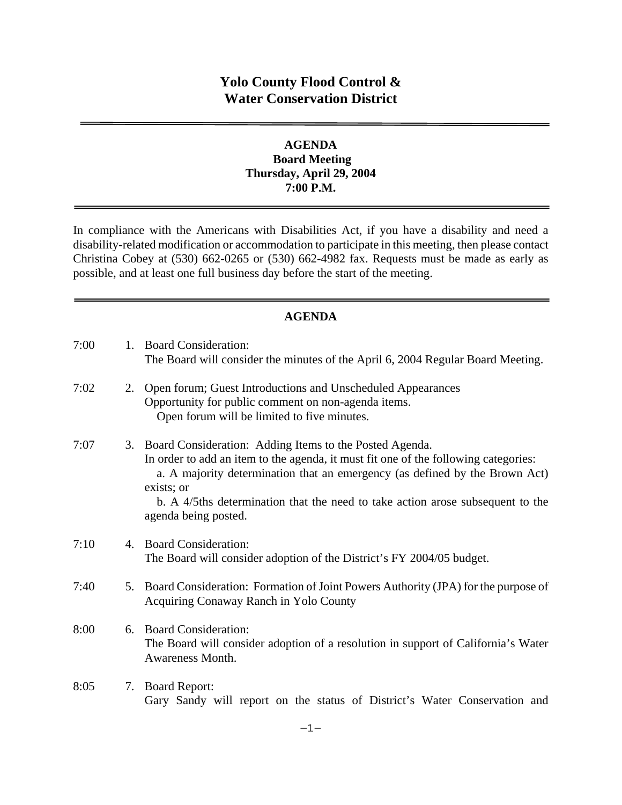# **Yolo County Flood Control & Water Conservation District**

### **AGENDA Board Meeting Thursday, April 29, 2004 7:00 P.M.**

In compliance with the Americans with Disabilities Act, if you have a disability and need a disability-related modification or accommodation to participate in this meeting, then please contact Christina Cobey at (530) 662-0265 or (530) 662-4982 fax. Requests must be made as early as possible, and at least one full business day before the start of the meeting.

#### **AGENDA**

| 7:00 |    | 1. Board Consideration:<br>The Board will consider the minutes of the April 6, 2004 Regular Board Meeting.                                                                                                                                                                                                                                               |
|------|----|----------------------------------------------------------------------------------------------------------------------------------------------------------------------------------------------------------------------------------------------------------------------------------------------------------------------------------------------------------|
| 7:02 | 2. | Open forum; Guest Introductions and Unscheduled Appearances<br>Opportunity for public comment on non-agenda items.<br>Open forum will be limited to five minutes.                                                                                                                                                                                        |
| 7:07 |    | 3. Board Consideration: Adding Items to the Posted Agenda.<br>In order to add an item to the agenda, it must fit one of the following categories:<br>a. A majority determination that an emergency (as defined by the Brown Act)<br>exists; or<br>b. A 4/5ths determination that the need to take action arose subsequent to the<br>agenda being posted. |
| 7:10 | 4. | <b>Board Consideration:</b><br>The Board will consider adoption of the District's FY 2004/05 budget.                                                                                                                                                                                                                                                     |
| 7:40 | 5. | Board Consideration: Formation of Joint Powers Authority (JPA) for the purpose of<br>Acquiring Conaway Ranch in Yolo County                                                                                                                                                                                                                              |
| 8:00 | 6. | <b>Board Consideration:</b><br>The Board will consider adoption of a resolution in support of California's Water<br>Awareness Month.                                                                                                                                                                                                                     |
| 8:05 | 7. | <b>Board Report:</b><br>Gary Sandy will report on the status of District's Water Conservation and                                                                                                                                                                                                                                                        |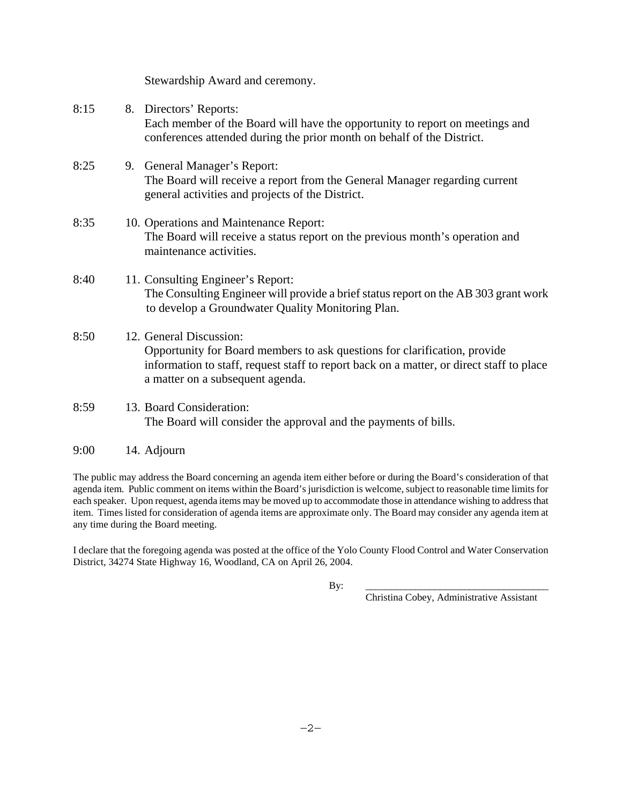|      | Stewardship Award and ceremony.                                                                                                                                                                                                      |
|------|--------------------------------------------------------------------------------------------------------------------------------------------------------------------------------------------------------------------------------------|
| 8:15 | 8. Directors' Reports:<br>Each member of the Board will have the opportunity to report on meetings and<br>conferences attended during the prior month on behalf of the District.                                                     |
| 8:25 | 9. General Manager's Report:<br>The Board will receive a report from the General Manager regarding current<br>general activities and projects of the District.                                                                       |
| 8:35 | 10. Operations and Maintenance Report:<br>The Board will receive a status report on the previous month's operation and<br>maintenance activities.                                                                                    |
| 8:40 | 11. Consulting Engineer's Report:<br>The Consulting Engineer will provide a brief status report on the AB 303 grant work<br>to develop a Groundwater Quality Monitoring Plan.                                                        |
| 8:50 | 12. General Discussion:<br>Opportunity for Board members to ask questions for clarification, provide<br>information to staff, request staff to report back on a matter, or direct staff to place<br>a matter on a subsequent agenda. |
| 8:59 | 13. Board Consideration:<br>The Board will consider the approval and the payments of bills.                                                                                                                                          |

9:00 14. Adjourn

The public may address the Board concerning an agenda item either before or during the Board's consideration of that agenda item. Public comment on items within the Board's jurisdiction is welcome, subject to reasonable time limits for each speaker. Upon request, agenda items may be moved up to accommodate those in attendance wishing to address that item. Times listed for consideration of agenda items are approximate only. The Board may consider any agenda item at any time during the Board meeting.

I declare that the foregoing agenda was posted at the office of the Yolo County Flood Control and Water Conservation District, 34274 State Highway 16, Woodland, CA on April 26, 2004.

By: \_\_\_\_\_\_\_\_\_\_\_\_\_\_\_\_\_\_\_\_\_\_\_\_\_\_\_\_\_\_\_\_\_\_\_\_\_

Christina Cobey, Administrative Assistant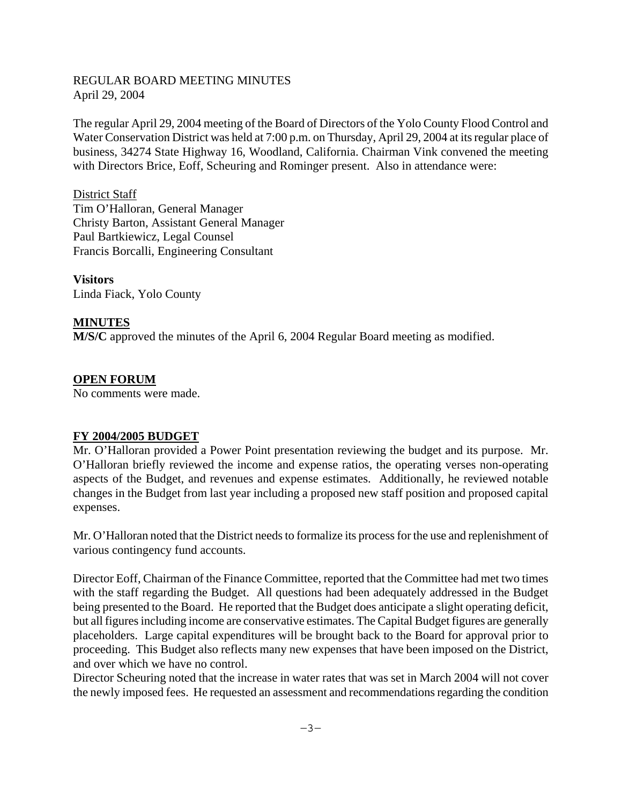#### REGULAR BOARD MEETING MINUTES April 29, 2004

The regular April 29, 2004 meeting of the Board of Directors of the Yolo County Flood Control and Water Conservation District was held at 7:00 p.m. on Thursday, April 29, 2004 at its regular place of business, 34274 State Highway 16, Woodland, California. Chairman Vink convened the meeting with Directors Brice, Eoff, Scheuring and Rominger present. Also in attendance were:

District Staff Tim O'Halloran, General Manager Christy Barton, Assistant General Manager Paul Bartkiewicz, Legal Counsel Francis Borcalli, Engineering Consultant

**Visitors**  Linda Fiack, Yolo County

### **MINUTES**

**M/S/C** approved the minutes of the April 6, 2004 Regular Board meeting as modified.

#### **OPEN FORUM**

No comments were made.

#### **FY 2004/2005 BUDGET**

Mr. O'Halloran provided a Power Point presentation reviewing the budget and its purpose. Mr. O'Halloran briefly reviewed the income and expense ratios, the operating verses non-operating aspects of the Budget, and revenues and expense estimates. Additionally, he reviewed notable changes in the Budget from last year including a proposed new staff position and proposed capital expenses.

Mr. O'Halloran noted that the District needs to formalize its process for the use and replenishment of various contingency fund accounts.

Director Eoff, Chairman of the Finance Committee, reported that the Committee had met two times with the staff regarding the Budget. All questions had been adequately addressed in the Budget being presented to the Board. He reported that the Budget does anticipate a slight operating deficit, but all figures including income are conservative estimates. The Capital Budget figures are generally placeholders. Large capital expenditures will be brought back to the Board for approval prior to proceeding. This Budget also reflects many new expenses that have been imposed on the District, and over which we have no control.

Director Scheuring noted that the increase in water rates that was set in March 2004 will not cover the newly imposed fees. He requested an assessment and recommendations regarding the condition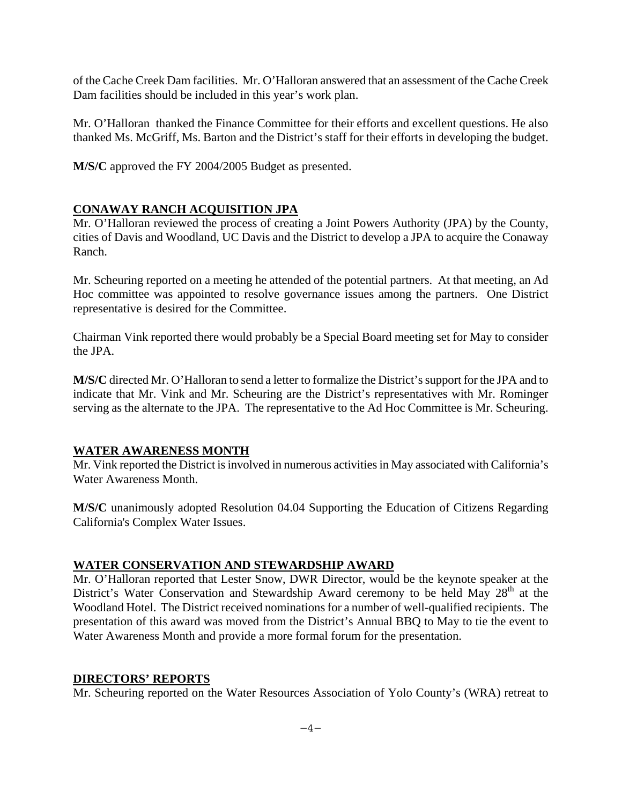of the Cache Creek Dam facilities. Mr. O'Halloran answered that an assessment of the Cache Creek Dam facilities should be included in this year's work plan.

Mr. O'Halloran thanked the Finance Committee for their efforts and excellent questions. He also thanked Ms. McGriff, Ms. Barton and the District's staff for their efforts in developing the budget.

**M/S/C** approved the FY 2004/2005 Budget as presented.

## **CONAWAY RANCH ACQUISITION JPA**

Mr. O'Halloran reviewed the process of creating a Joint Powers Authority (JPA) by the County, cities of Davis and Woodland, UC Davis and the District to develop a JPA to acquire the Conaway Ranch.

Mr. Scheuring reported on a meeting he attended of the potential partners. At that meeting, an Ad Hoc committee was appointed to resolve governance issues among the partners. One District representative is desired for the Committee.

Chairman Vink reported there would probably be a Special Board meeting set for May to consider the JPA.

**M/S/C** directed Mr. O'Halloran to send a letter to formalize the District's support for the JPA and to indicate that Mr. Vink and Mr. Scheuring are the District's representatives with Mr. Rominger serving as the alternate to the JPA. The representative to the Ad Hoc Committee is Mr. Scheuring.

## **WATER AWARENESS MONTH**

Mr. Vink reported the District is involved in numerous activities in May associated with California's Water Awareness Month.

**M/S/C** unanimously adopted Resolution 04.04 Supporting the Education of Citizens Regarding California's Complex Water Issues.

## **WATER CONSERVATION AND STEWARDSHIP AWARD**

Mr. O'Halloran reported that Lester Snow, DWR Director, would be the keynote speaker at the District's Water Conservation and Stewardship Award ceremony to be held May 28<sup>th</sup> at the Woodland Hotel. The District received nominations for a number of well-qualified recipients. The presentation of this award was moved from the District's Annual BBQ to May to tie the event to Water Awareness Month and provide a more formal forum for the presentation.

### **DIRECTORS' REPORTS**

Mr. Scheuring reported on the Water Resources Association of Yolo County's (WRA) retreat to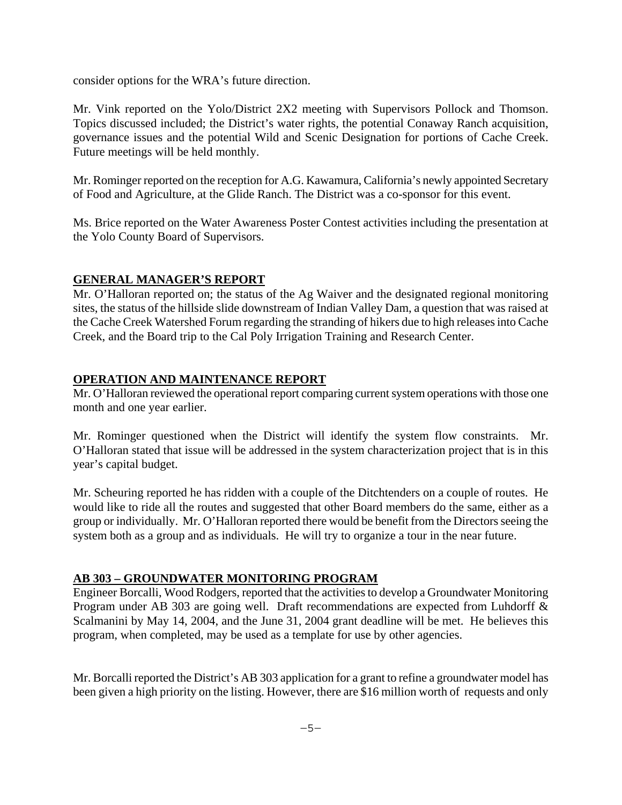consider options for the WRA's future direction.

Mr. Vink reported on the Yolo/District 2X2 meeting with Supervisors Pollock and Thomson. Topics discussed included; the District's water rights, the potential Conaway Ranch acquisition, governance issues and the potential Wild and Scenic Designation for portions of Cache Creek. Future meetings will be held monthly.

Mr. Rominger reported on the reception for A.G. Kawamura, California's newly appointed Secretary of Food and Agriculture, at the Glide Ranch. The District was a co-sponsor for this event.

Ms. Brice reported on the Water Awareness Poster Contest activities including the presentation at the Yolo County Board of Supervisors.

## **GENERAL MANAGER'S REPORT**

Mr. O'Halloran reported on; the status of the Ag Waiver and the designated regional monitoring sites, the status of the hillside slide downstream of Indian Valley Dam, a question that was raised at the Cache Creek Watershed Forum regarding the stranding of hikers due to high releases into Cache Creek, and the Board trip to the Cal Poly Irrigation Training and Research Center.

## **OPERATION AND MAINTENANCE REPORT**

Mr. O'Halloran reviewed the operational report comparing current system operations with those one month and one year earlier.

Mr. Rominger questioned when the District will identify the system flow constraints. Mr. O'Halloran stated that issue will be addressed in the system characterization project that is in this year's capital budget.

Mr. Scheuring reported he has ridden with a couple of the Ditchtenders on a couple of routes. He would like to ride all the routes and suggested that other Board members do the same, either as a group or individually. Mr. O'Halloran reported there would be benefit from the Directors seeing the system both as a group and as individuals. He will try to organize a tour in the near future.

### **AB 303 – GROUNDWATER MONITORING PROGRAM**

Engineer Borcalli, Wood Rodgers, reported that the activities to develop a Groundwater Monitoring Program under AB 303 are going well. Draft recommendations are expected from Luhdorff & Scalmanini by May 14, 2004, and the June 31, 2004 grant deadline will be met. He believes this program, when completed, may be used as a template for use by other agencies.

Mr. Borcalli reported the District's AB 303 application for a grant to refine a groundwater model has been given a high priority on the listing. However, there are \$16 million worth of requests and only